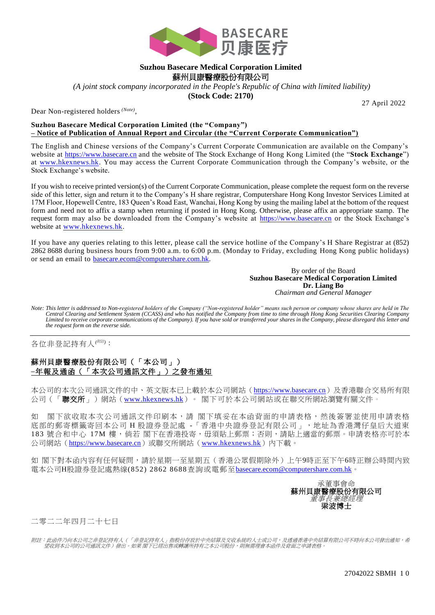

## **Suzhou Basecare Medical Corporation Limited** 蘇州貝康醫療股份有限公司

*(A joint stock company incorporated in the People's Republic of China with limited liability)*

**(Stock Code: 2170)**

Dear Non-registered holders *(Note)* ,

27 April 2022

## **Suzhou Basecare Medical Corporation Limited (the "Company") – Notice of Publication of Annual Report and Circular (the "Current Corporate Communication")**

The English and Chinese versions of the Company's Current Corporate Communication are available on the Company's website at [https://www.basecare.cn](https://kingwell.todayir.com/) and the website of The Stock Exchange of Hong Kong Limited (the "**Stock Exchange**") at [www.hkexnews.hk.](http://www.hkexnews.hk/) You may access the Current Corporate Communication through the Company's website, or the Stock Exchange's website.

If you wish to receive printed version(s) of the Current Corporate Communication, please complete the request form on the reverse side of this letter, sign and return it to the Company's H share registrar, Computershare Hong Kong Investor Services Limited at 17M Floor, Hopewell Centre, 183 Queen's Road East, Wanchai, Hong Kong by using the mailing label at the bottom of the request form and need not to affix a stamp when returning if posted in Hong Kong. Otherwise, please affix an appropriate stamp. The request form may also be downloaded from the Company's website at [https://www.basecare.cn](https://kingwell.todayir.com/) or the Stock Exchange's website at [www.hkexnews.hk.](http://www.hkexnews.hk/)

If you have any queries relating to this letter, please call the service hotline of the Company's H Share Registrar at (852) 2862 8688 during business hours from 9:00 a.m. to 6:00 p.m. (Monday to Friday, excluding Hong Kong public holidays) or send an email to [basecare.ecom@computershare.com.hk.](mailto:kingwell.ecom@computershare.com.hk)

> By order of the Board **Suzhou Basecare Medical Corporation Limited Dr. Liang Bo** *Chairman and General Manager*

*Note: This letter is addressed to Non-registered holders of the Company ("Non-registered holder" means such person or company whose shares are held in The Central Clearing and Settlement System (CCASS) and who has notified the Company from time to time through Hong Kong Securities Clearing Company Limited to receive corporate communications of the Company). If you have sold or transferred your shares in the Company, please disregard this letter and the request form on the reverse side.*

各位非登記持有人*(*附註*)*:

## 蘇州貝康醫療股份有限公司(「本公司」) **–**年報及通函(「本次公司通訊文件」)之發布通知

本公司的本次公司通訊文件的中、英文版本已上載於本公司網站([https://www.basecare.cn](https://kingwell.todayir.com/))及香港聯合交易所有限 公司(「聯交所」)網站(www[.hkexnews.](http://www.hkexnews.hk/)hk)。 閣下可於本公司網站或在聯交所網站瀏覽有關文件。

如 閣下欲收取本次公司通訊文件印刷本,請 閣下填妥在本函背面的申請表格,然後簽署並使用申請表格 底部的郵寄標籤寄回本公司H 股證券登記處 -「香港中央證券登記有限公司」,地址為香港灣仔皇后大道東 183 號合和中心 17M 樓, 倘若 閣下在香港投寄, 毋須貼上郵票; 否則,請貼上適當的郵票。申請表格亦可於本 公司網站([https://www.basecare.cn](https://kingwell.todayir.com/))或聯交所網站([www.hkexnews.hk](http://www.hkexnews.hk/))內下載。

如 閣下對本函內容有任何疑問,請於星期一至星期五(香港公眾假期除外)上午9時正至下午6時正辦公時間內致 電本公司H股證券登記處熱線(852) 2862 8688查詢或電郵至[basecare.ecom@computershare.com.hk](mailto:kingwell.ecom@computershare.com.hk)。



二零二二年四月二十七日

附註:此函件乃向本公司之非登記持有人(「非登記持有人」指股份存放於中央結算及交收系統的人士或公司,及透過香港中央結算有限公司不時向本公司發出通知,希<br>- 室收到本公司的公司通訊文件)發出。如果 閣下已經出售或轉讓所持有之本公司股份,則無需理會本函件及背面之申請表格。

27042022 SBMH 1 0